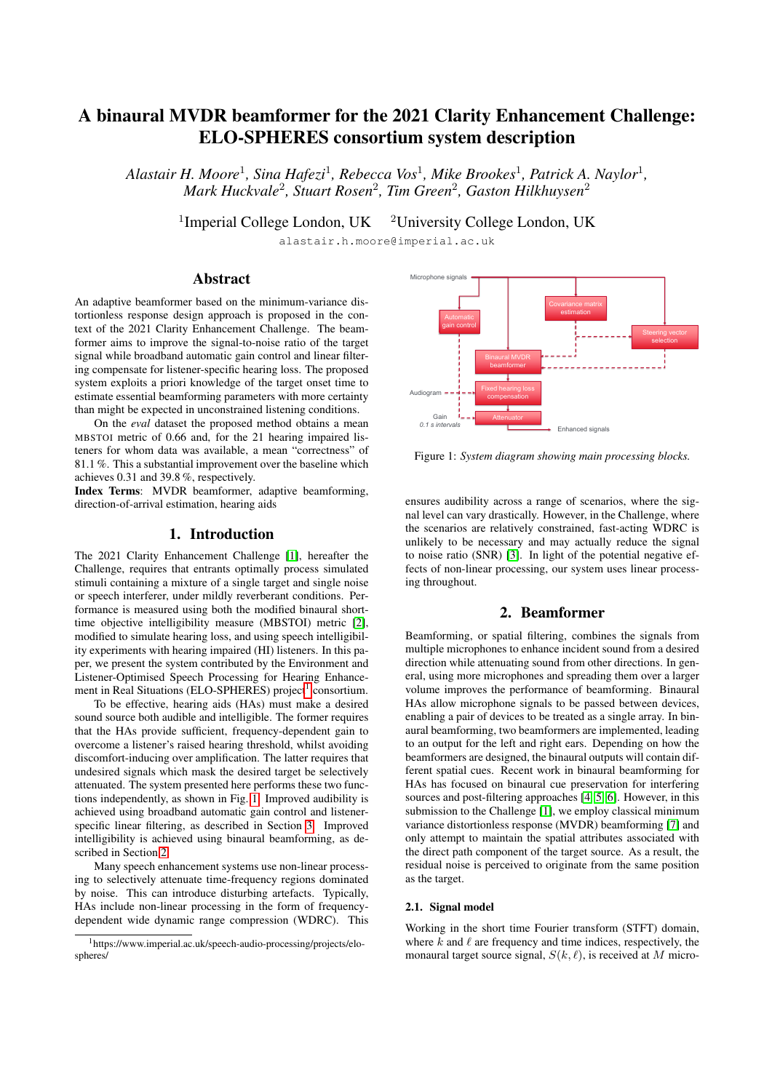# A binaural MVDR beamformer for the 2021 Clarity Enhancement Challenge: ELO-SPHERES consortium system description

Alastair H. Moore<sup>1</sup>, Sina Hafezi<sup>1</sup>, Rebecca Vos<sup>1</sup>, Mike Brookes<sup>1</sup>, Patrick A. Naylor<sup>1</sup>, *Mark Huckvale*<sup>2</sup> *, Stuart Rosen*<sup>2</sup> *, Tim Green*<sup>2</sup> *, Gaston Hilkhuysen*<sup>2</sup>

<sup>1</sup>Imperial College London, UK <sup>2</sup>University College London, UK

alastair.h.moore@imperial.ac.uk

# Abstract

An adaptive beamformer based on the minimum-variance distortionless response design approach is proposed in the context of the 2021 Clarity Enhancement Challenge. The beamformer aims to improve the signal-to-noise ratio of the target signal while broadband automatic gain control and linear filtering compensate for listener-specific hearing loss. The proposed system exploits a priori knowledge of the target onset time to estimate essential beamforming parameters with more certainty than might be expected in unconstrained listening conditions.

On the *eval* dataset the proposed method obtains a mean MBSTOI metric of 0.66 and, for the 21 hearing impaired listeners for whom data was available, a mean "correctness" of 81.1 %. This a substantial improvement over the baseline which achieves 0.31 and 39.8 %, respectively.

Index Terms: MVDR beamformer, adaptive beamforming, direction-of-arrival estimation, hearing aids

# 1. Introduction

The 2021 Clarity Enhancement Challenge [\[1\]](#page-3-0), hereafter the Challenge, requires that entrants optimally process simulated stimuli containing a mixture of a single target and single noise or speech interferer, under mildly reverberant conditions. Performance is measured using both the modified binaural shorttime objective intelligibility measure (MBSTOI) metric [\[2\]](#page-3-1), modified to simulate hearing loss, and using speech intelligibility experiments with hearing impaired (HI) listeners. In this paper, we present the system contributed by the Environment and Listener-Optimised Speech Processing for Hearing Enhance-ment in Real Situations (ELO-SPHERES) project<sup>[1](#page-0-0)</sup> consortium.

To be effective, hearing aids (HAs) must make a desired sound source both audible and intelligible. The former requires that the HAs provide sufficient, frequency-dependent gain to overcome a listener's raised hearing threshold, whilst avoiding discomfort-inducing over amplification. The latter requires that undesired signals which mask the desired target be selectively attenuated. The system presented here performs these two functions independently, as shown in Fig. [1.](#page-0-1) Improved audibility is achieved using broadband automatic gain control and listenerspecific linear filtering, as described in Section [3.](#page-2-0) Improved intelligibility is achieved using binaural beamforming, as described in Section [2.](#page-0-2)

Many speech enhancement systems use non-linear processing to selectively attenuate time-frequency regions dominated by noise. This can introduce disturbing artefacts. Typically, HAs include non-linear processing in the form of frequencydependent wide dynamic range compression (WDRC). This

<span id="page-0-1"></span>

Figure 1: *System diagram showing main processing blocks.*

ensures audibility across a range of scenarios, where the signal level can vary drastically. However, in the Challenge, where the scenarios are relatively constrained, fast-acting WDRC is unlikely to be necessary and may actually reduce the signal to noise ratio (SNR) [\[3\]](#page-3-2). In light of the potential negative effects of non-linear processing, our system uses linear processing throughout.

# 2. Beamformer

<span id="page-0-2"></span>Beamforming, or spatial filtering, combines the signals from multiple microphones to enhance incident sound from a desired direction while attenuating sound from other directions. In general, using more microphones and spreading them over a larger volume improves the performance of beamforming. Binaural HAs allow microphone signals to be passed between devices, enabling a pair of devices to be treated as a single array. In binaural beamforming, two beamformers are implemented, leading to an output for the left and right ears. Depending on how the beamformers are designed, the binaural outputs will contain different spatial cues. Recent work in binaural beamforming for HAs has focused on binaural cue preservation for interfering sources and post-filtering approaches [\[4,](#page-3-3) [5,](#page-3-4) [6\]](#page-3-5). However, in this submission to the Challenge [\[1\]](#page-3-0), we employ classical minimum variance distortionless response (MVDR) beamforming [\[7\]](#page-3-6) and only attempt to maintain the spatial attributes associated with the direct path component of the target source. As a result, the residual noise is perceived to originate from the same position as the target.

## 2.1. Signal model

Working in the short time Fourier transform (STFT) domain, where  $k$  and  $\ell$  are frequency and time indices, respectively, the monaural target source signal,  $S(k, \ell)$ , is received at M micro-

<span id="page-0-0"></span><sup>1</sup>https://www.imperial.ac.uk/speech-audio-processing/projects/elospheres/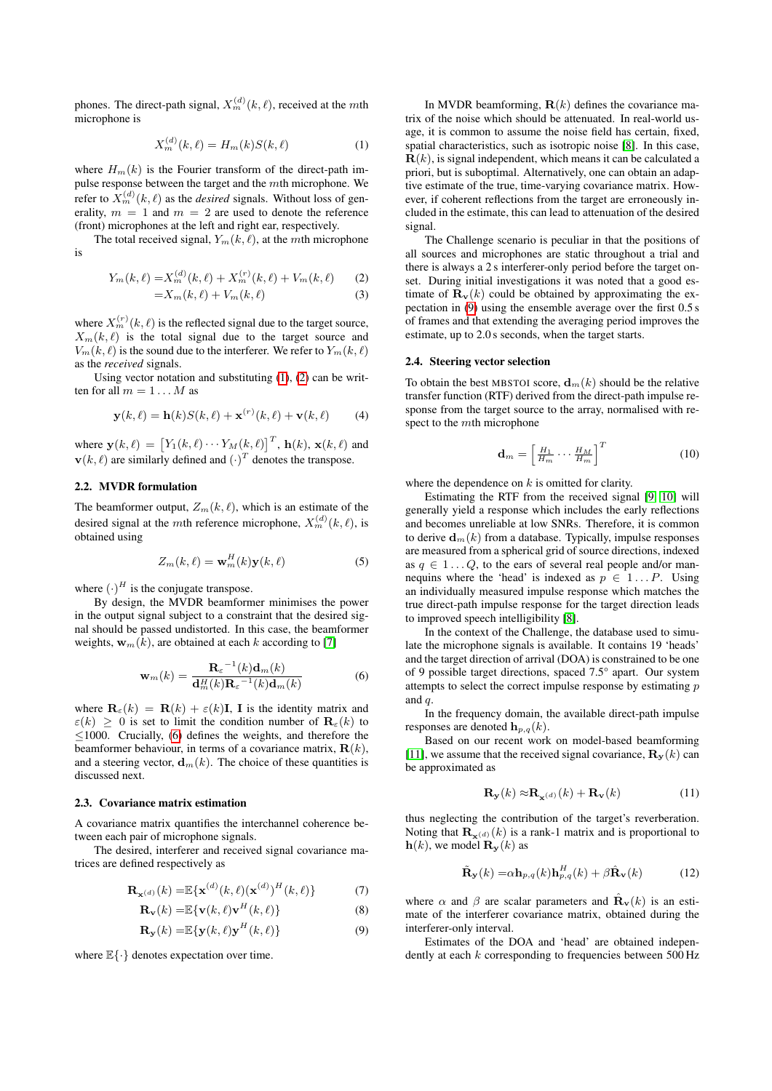phones. The direct-path signal,  $X_m^{(d)}(k, \ell)$ , received at the mth microphone is

$$
X_{m}^{(d)}(k,\ell) = H_{m}(k)S(k,\ell)
$$
 (1)

where  $H_m(k)$  is the Fourier transform of the direct-path impulse response between the target and the mth microphone. We refer to  $X_m^{(d)}(k, \ell)$  as the *desired* signals. Without loss of generality,  $m = 1$  and  $m = 2$  are used to denote the reference (front) microphones at the left and right ear, respectively.

The total received signal,  $Y_m(k, \ell)$ , at the mth microphone is

$$
Y_m(k,\ell) = X_m^{(d)}(k,\ell) + X_m^{(r)}(k,\ell) + V_m(k,\ell) \tag{2}
$$

$$
=X_m(k,\ell)+V_m(k,\ell)
$$
\n(3)

where  $X_m^{(r)}(k, \ell)$  is the reflected signal due to the target source,  $X_m(k, \ell)$  is the total signal due to the target source and  $V_m(k, \ell)$  is the sound due to the interferer. We refer to  $Y_m(k, \ell)$ as the *received* signals.

Using vector notation and substituting [\(1\)](#page-1-0), [\(2\)](#page-1-1) can be written for all  $m = 1...M$  as

$$
\mathbf{y}(k,\ell) = \mathbf{h}(k)S(k,\ell) + \mathbf{x}^{(r)}(k,\ell) + \mathbf{v}(k,\ell) \tag{4}
$$

where  $\mathbf{y}(k,\ell) = [Y_1(k,\ell) \cdots Y_M(k,\ell)]^T$ ,  $\mathbf{h}(k)$ ,  $\mathbf{x}(k,\ell)$  and  $\mathbf{v}(k,\ell)$  are similarly defined and  $(\cdot)^T$  denotes the transpose.

## 2.2. MVDR formulation

The beamformer output,  $Z_m(k, \ell)$ , which is an estimate of the desired signal at the *m*th reference microphone,  $X_m^{(d)}(k, \ell)$ , is obtained using

$$
Z_m(k,\ell) = \mathbf{w}_m^H(k)\mathbf{y}(k,\ell)
$$
 (5)

where  $(\cdot)^H$  is the conjugate transpose.

By design, the MVDR beamformer minimises the power in the output signal subject to a constraint that the desired signal should be passed undistorted. In this case, the beamformer weights,  $\mathbf{w}_m(k)$ , are obtained at each k according to [\[7\]](#page-3-6)

$$
\mathbf{w}_{m}(k) = \frac{\mathbf{R}_{\varepsilon}^{-1}(k)\mathbf{d}_{m}(k)}{\mathbf{d}_{m}^{H}(k)\mathbf{R}_{\varepsilon}^{-1}(k)\mathbf{d}_{m}(k)}
$$
(6)

where  $\mathbf{R}_{\varepsilon}(k) = \mathbf{R}(k) + \varepsilon(k)\mathbf{I}$ , I is the identity matrix and  $\varepsilon(k) \geq 0$  is set to limit the condition number of  $\mathbf{R}_{\varepsilon}(k)$  to  $\leq$ 1000. Crucially, [\(6\)](#page-1-2) defines the weights, and therefore the beamformer behaviour, in terms of a covariance matrix,  $\mathbf{R}(k)$ , and a steering vector,  $\mathbf{d}_m(k)$ . The choice of these quantities is discussed next.

#### 2.3. Covariance matrix estimation

A covariance matrix quantifies the interchannel coherence between each pair of microphone signals.

The desired, interferer and received signal covariance matrices are defined respectively as

$$
\mathbf{R}_{\mathbf{x}^{(d)}}(k) = \mathbb{E}\{\mathbf{x}^{(d)}(k,\ell)(\mathbf{x}^{(d)})^H(k,\ell)\}\tag{7}
$$

$$
\mathbf{R}_{\mathbf{v}}(k) = \mathbb{E}\{\mathbf{v}(k,\ell)\mathbf{v}^H(k,\ell)\}\
$$
 (8)

$$
\mathbf{R}_{\mathbf{y}}(k) = \mathbb{E}\{\mathbf{y}(k,\ell)\mathbf{y}^{H}(k,\ell)\}\
$$
 (9)

where  $\mathbb{E}\{\cdot\}$  denotes expectation over time.

<span id="page-1-0"></span>In MVDR beamforming,  $\mathbf{R}(k)$  defines the covariance matrix of the noise which should be attenuated. In real-world usage, it is common to assume the noise field has certain, fixed, spatial characteristics, such as isotropic noise [\[8\]](#page-3-7). In this case, **, is signal independent, which means it can be calculated a** priori, but is suboptimal. Alternatively, one can obtain an adaptive estimate of the true, time-varying covariance matrix. However, if coherent reflections from the target are erroneously included in the estimate, this can lead to attenuation of the desired signal.

<span id="page-1-1"></span>The Challenge scenario is peculiar in that the positions of all sources and microphones are static throughout a trial and there is always a 2 s interferer-only period before the target onset. During initial investigations it was noted that a good estimate of  $\mathbf{R}_{v}(k)$  could be obtained by approximating the expectation in [\(9\)](#page-1-3) using the ensemble average over the first 0.5 s of frames and that extending the averaging period improves the estimate, up to 2.0 s seconds, when the target starts.

#### <span id="page-1-4"></span>2.4. Steering vector selection

To obtain the best MBSTOI score,  $\mathbf{d}_m(k)$  should be the relative transfer function (RTF) derived from the direct-path impulse response from the target source to the array, normalised with respect to the mth microphone

$$
\mathbf{d}_m = \left[\frac{H_1}{H_m} \cdots \frac{H_M}{H_m}\right]^T \tag{10}
$$

where the dependence on  $k$  is omitted for clarity.

Estimating the RTF from the received signal [\[9,](#page-3-8) [10\]](#page-3-9) will generally yield a response which includes the early reflections and becomes unreliable at low SNRs. Therefore, it is common to derive  $\mathbf{d}_m(k)$  from a database. Typically, impulse responses are measured from a spherical grid of source directions, indexed as  $q \in 1 \dots Q$ , to the ears of several real people and/or mannequins where the 'head' is indexed as  $p \in 1...P$ . Using an individually measured impulse response which matches the true direct-path impulse response for the target direction leads to improved speech intelligibility [\[8\]](#page-3-7).

<span id="page-1-2"></span>In the context of the Challenge, the database used to simulate the microphone signals is available. It contains 19 'heads' and the target direction of arrival (DOA) is constrained to be one of 9 possible target directions, spaced 7.5° apart. Our system attempts to select the correct impulse response by estimating  $p$ and q.

In the frequency domain, the available direct-path impulse responses are denoted  $\mathbf{h}_{p,q}(k)$ .

Based on our recent work on model-based beamforming [\[11\]](#page-3-10), we assume that the received signal covariance,  $\mathbf{R}_{y}(k)$  can be approximated as

$$
\mathbf{R}_{\mathbf{y}}(k) \approx \mathbf{R}_{\mathbf{x}^{(d)}}(k) + \mathbf{R}_{\mathbf{v}}(k)
$$
 (11)

thus neglecting the contribution of the target's reverberation. Noting that  $\mathbf{R}_{x}(d)(k)$  is a rank-1 matrix and is proportional to  $h(k)$ , we model  $\mathbf{R}_{\mathbf{y}}(k)$  as

$$
\tilde{\mathbf{R}}_{\mathbf{y}}(k) = \alpha \mathbf{h}_{p,q}(k) \mathbf{h}_{p,q}^{H}(k) + \beta \hat{\mathbf{R}}_{\mathbf{v}}(k)
$$
 (12)

where  $\alpha$  and  $\beta$  are scalar parameters and  $\hat{\mathbf{R}}_{\mathbf{v}}(k)$  is an estimate of the interferer covariance matrix, obtained during the interferer-only interval.

<span id="page-1-3"></span>Estimates of the DOA and 'head' are obtained independently at each k corresponding to frequencies between 500 Hz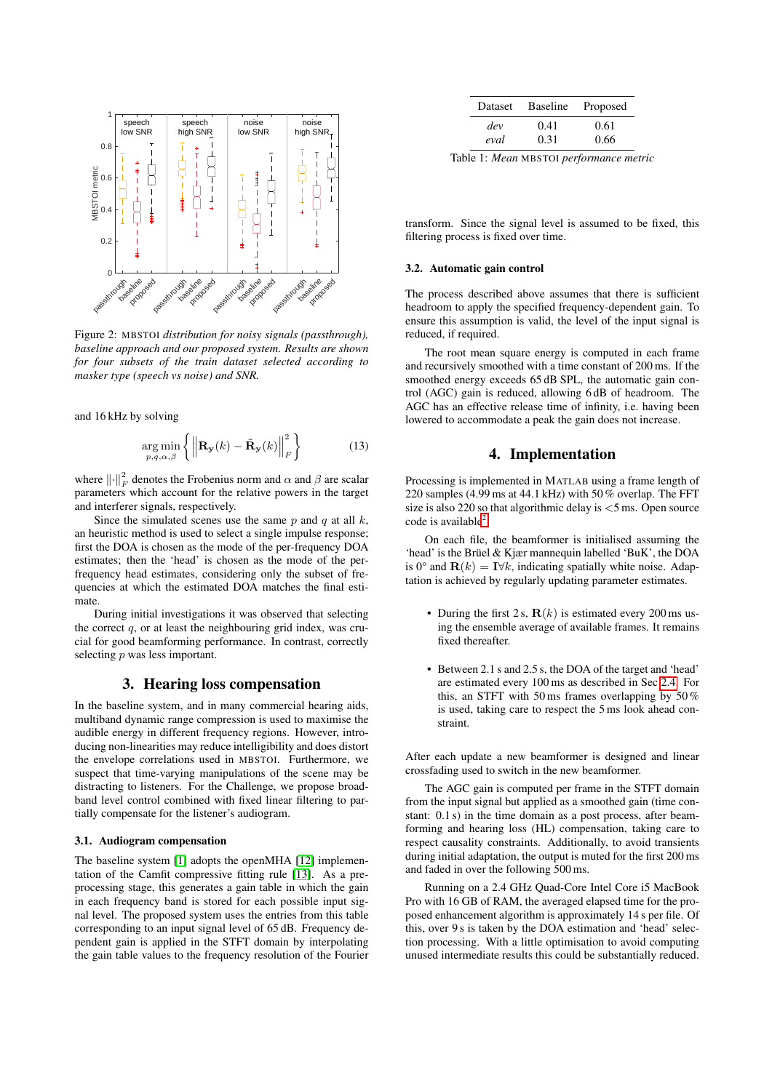<span id="page-2-1"></span>

Figure 2: MBSTOI *distribution for noisy signals (passthrough), baseline approach and our proposed system. Results are shown for four subsets of the train dataset selected according to masker type (speech vs noise) and SNR.*

and 16 kHz by solving

$$
\underset{p,q,\alpha,\beta}{\arg\min} \left\{ \left\| \mathbf{R}_{\mathbf{y}}(k) - \tilde{\mathbf{R}}_{\mathbf{y}}(k) \right\|_{F}^{2} \right\}
$$
(13)

where  $\left\| \cdot \right\|_F^2$  denotes the Frobenius norm and  $\alpha$  and  $\beta$  are scalar parameters which account for the relative powers in the target and interferer signals, respectively.

Since the simulated scenes use the same  $p$  and  $q$  at all  $k$ , an heuristic method is used to select a single impulse response; first the DOA is chosen as the mode of the per-frequency DOA estimates; then the 'head' is chosen as the mode of the perfrequency head estimates, considering only the subset of frequencies at which the estimated DOA matches the final estimate.

During initial investigations it was observed that selecting the correct  $q$ , or at least the neighbouring grid index, was crucial for good beamforming performance. In contrast, correctly selecting *p* was less important.

## 3. Hearing loss compensation

<span id="page-2-0"></span>In the baseline system, and in many commercial hearing aids, multiband dynamic range compression is used to maximise the audible energy in different frequency regions. However, introducing non-linearities may reduce intelligibility and does distort the envelope correlations used in MBSTOI. Furthermore, we suspect that time-varying manipulations of the scene may be distracting to listeners. For the Challenge, we propose broadband level control combined with fixed linear filtering to partially compensate for the listener's audiogram.

#### 3.1. Audiogram compensation

The baseline system [\[1\]](#page-3-0) adopts the openMHA [\[12\]](#page-3-11) implementation of the Camfit compressive fitting rule [\[13\]](#page-3-12). As a preprocessing stage, this generates a gain table in which the gain in each frequency band is stored for each possible input signal level. The proposed system uses the entries from this table corresponding to an input signal level of 65 dB. Frequency dependent gain is applied in the STFT domain by interpolating the gain table values to the frequency resolution of the Fourier

<span id="page-2-2"></span>

| Dataset | <b>Baseline</b> | Proposed |
|---------|-----------------|----------|
| dev     | 0.41            | 0.61     |
| eval    | 0.31            | 0.66     |

Table 1: *Mean* MBSTOI *performance metric*

transform. Since the signal level is assumed to be fixed, this filtering process is fixed over time.

#### 3.2. Automatic gain control

The process described above assumes that there is sufficient headroom to apply the specified frequency-dependent gain. To ensure this assumption is valid, the level of the input signal is reduced, if required.

The root mean square energy is computed in each frame and recursively smoothed with a time constant of 200 ms. If the smoothed energy exceeds 65 dB SPL, the automatic gain control (AGC) gain is reduced, allowing 6 dB of headroom. The AGC has an effective release time of infinity, i.e. having been lowered to accommodate a peak the gain does not increase.

# 4. Implementation

Processing is implemented in MATLAB using a frame length of 220 samples (4.99 ms at 44.1 kHz) with 50 % overlap. The FFT size is also 220 so that algorithmic delay is  $<$  5 ms. Open source code is available<sup>[2](#page-3-13)</sup>.

On each file, the beamformer is initialised assuming the 'head' is the Brüel & Kjær mannequin labelled 'BuK', the DOA is 0° and  $\mathbf{R}(k) = \mathbf{I} \forall k$ , indicating spatially white noise. Adaptation is achieved by regularly updating parameter estimates.

- During the first 2 s,  $\mathbf{R}(k)$  is estimated every 200 ms using the ensemble average of available frames. It remains fixed thereafter.
- Between 2.1 s and 2.5 s, the DOA of the target and 'head' are estimated every 100 ms as described in Sec [2.4.](#page-1-4) For this, an STFT with 50 ms frames overlapping by 50 % is used, taking care to respect the 5 ms look ahead constraint.

After each update a new beamformer is designed and linear crossfading used to switch in the new beamformer.

The AGC gain is computed per frame in the STFT domain from the input signal but applied as a smoothed gain (time constant: 0.1 s) in the time domain as a post process, after beamforming and hearing loss (HL) compensation, taking care to respect causality constraints. Additionally, to avoid transients during initial adaptation, the output is muted for the first 200 ms and faded in over the following 500 ms.

Running on a 2.4 GHz Quad-Core Intel Core i5 MacBook Pro with 16 GB of RAM, the averaged elapsed time for the proposed enhancement algorithm is approximately 14 s per file. Of this, over 9 s is taken by the DOA estimation and 'head' selection processing. With a little optimisation to avoid computing unused intermediate results this could be substantially reduced.